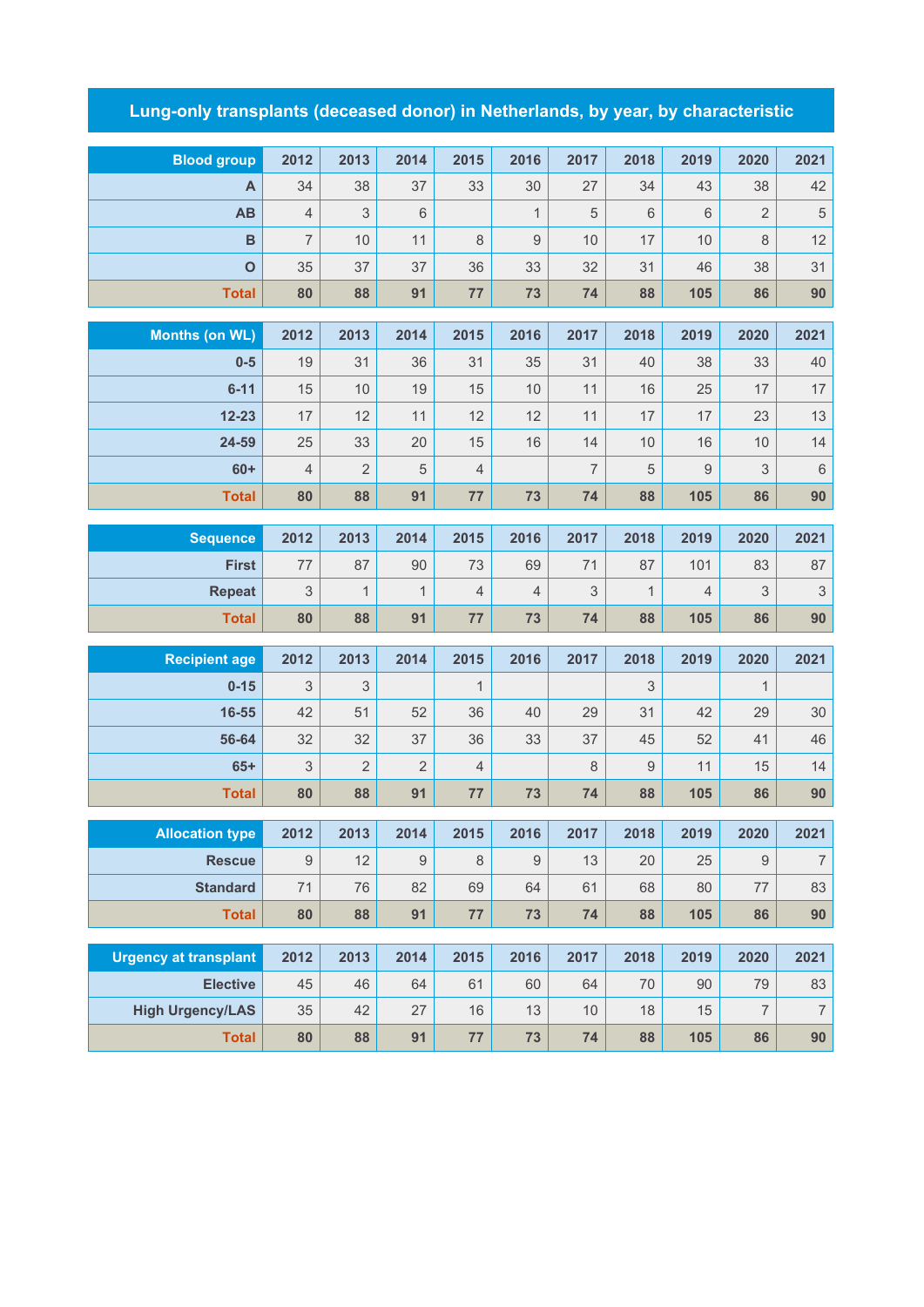## **Lung-only transplants (deceased donor) in Netherlands, by year, by characteristic**

| <b>Blood group</b>             | 2012           | 2013           | 2014           | 2015           | 2016                | 2017           | 2018             | 2019      | 2020           | 2021                     |
|--------------------------------|----------------|----------------|----------------|----------------|---------------------|----------------|------------------|-----------|----------------|--------------------------|
| A                              | 34             | 38             | 37             | 33             | 30                  | 27             | 34               | 43        | 38             | 42                       |
| AB                             | $\sqrt{4}$     | 3              | $6\,$          |                | $\mathbf{1}$        | 5              | $6\,$            | 6         | 2              | $\,$ 5 $\,$              |
| $\mathbf B$                    | $\overline{7}$ | 10             | 11             | 8              | 9                   | 10             | 17               | 10        | 8              | 12                       |
| $\mathbf{o}$                   | 35             | 37             | 37             | 36             | 33                  | 32             | 31               | 46        | 38             | 31                       |
| <b>Total</b>                   | 80             | 88             | 91             | 77             | 73                  | 74             | 88               | 105       | 86             | 90                       |
|                                | 2012           | 2013           | 2014           | 2015           |                     | 2017           | 2018             | 2019      | 2020           | 2021                     |
| <b>Months (on WL)</b><br>$0-5$ |                |                |                |                | 2016                |                |                  |           |                | 40                       |
| $6 - 11$                       | 19<br>15       | 31<br>10       | 36<br>19       | 31<br>15       | 35<br>10            | 31             | 40<br>16         | 38<br>25  | 33<br>17       | 17                       |
| $12 - 23$                      | 17             | 12             | 11             | 12             | 12                  | 11<br>11       | 17               | 17        | 23             | 13                       |
| 24-59                          | 25             | 33             | 20             | 15             | 16                  | 14             | 10               | 16        | 10             | 14                       |
| $60+$                          | $\overline{4}$ | $\overline{2}$ | 5              | $\sqrt{4}$     |                     | $\overline{7}$ | 5                | 9         | 3              | $\,$ 6 $\,$              |
| <b>Total</b>                   | 80             | 88             | 91             | 77             | 73                  | 74             | 88               | 105       | 86             | 90                       |
|                                |                |                |                |                |                     |                |                  |           |                |                          |
| <b>Sequence</b>                | 2012           | 2013           | 2014           | 2015           | 2016                | 2017           | 2018             | 2019      | 2020           | 2021                     |
| <b>First</b>                   | 77             | 87             | 90             | 73             | 69                  | 71             | 87               | 101       | 83             | 87                       |
| <b>Repeat</b>                  | 3              | $\mathbf{1}$   | $\mathbf{1}$   | $\overline{4}$ | $\overline{4}$      | 3              | $\mathbf{1}$     | 4         | 3              | 3                        |
| <b>Total</b>                   | 80             | 88             | 91             | 77             | 73                  | 74             | 88               | 105       | 86             | 90                       |
| <b>Recipient age</b>           | 2012           | 2013           | 2014           | 2015           | 2016                | 2017           | 2018             | 2019      | 2020           | 2021                     |
| $0 - 15$                       | 3              | 3              |                | $\mathbf{1}$   |                     |                | 3                |           | 1              |                          |
| 16-55                          | 42             | 51             | 52             | 36             | 40                  | 29             | 31               | 42        | 29             | $30\,$                   |
| 56-64                          | 32             | 32             | 37             | 36             | 33                  | 37             | 45               | 52        | 41             | 46                       |
| $65+$                          | 3              | $\overline{2}$ | $\overline{2}$ | $\sqrt{4}$     |                     | 8              | $\boldsymbol{9}$ | 11        | 15             | 14                       |
| <b>Total</b>                   | 80             | 88             | 91             | 77             | 73                  | 74             | 88               | 105       | 86             | 90                       |
|                                |                | 2013           | 2014           | 2015           |                     |                | 2018             | 2019      | 2020           |                          |
| <b>Allocation type</b>         | 2012<br>9      | 12             | $9$            | $\,8\,$        | 2016<br>$\mathsf g$ | 2017<br>13     | 20               | 25        | $9\,$          | 2021<br>$\boldsymbol{7}$ |
| <b>Rescue</b>                  | 71             | 76             |                | 69             | 64                  |                |                  |           |                | 83                       |
| <b>Standard</b>                | 80             | 88             | 82<br>91       | 77             | 73                  | 61<br>74       | 68<br>88         | 80<br>105 | $77\,$         | 90                       |
| <b>Total</b>                   |                |                |                |                |                     |                |                  |           | 86             |                          |
| <b>Urgency at transplant</b>   | 2012           | 2013           | 2014           | 2015           | 2016                | 2017           | 2018             | 2019      | 2020           | 2021                     |
| <b>Elective</b>                | 45             | 46             | 64             | 61             | 60                  | 64             | 70               | 90        | 79             | 83                       |
| <b>High Urgency/LAS</b>        | 35             | 42             | 27             | 16             | 13                  | 10             | 18               | 15        | $\overline{7}$ | $\boldsymbol{7}$         |
| <b>Total</b>                   | 80             | 88             | 91             | 77             | 73                  | 74             | 88               | 105       | 86             | 90                       |